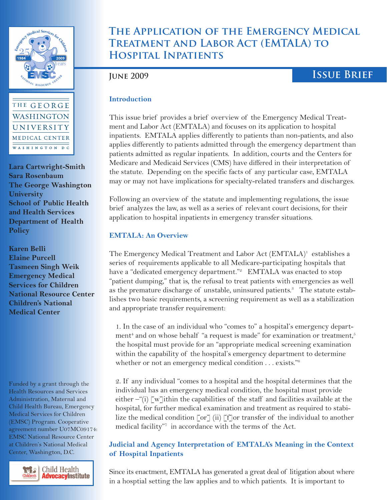



**Lara Cartwright-Smith Sara Rosenbaum The George Washington University School of Public Health and Health Services Department of Health Policy**

**Karen Belli Elaine Purcell Tasmeen Singh Weik Emergency Medical Services for Children National Resource Center Children's National Medical Center**

Funded by a grant through the Health Resources and Services Administration, Maternal and Child Health Bureau, Emergency Medical Services for Children (EMSC) Program. Cooperative agreement number U07MC09174: EMSC National Resource Center at Children's National Medical Center, Washington, D.C.



# **The Application of the Emergency Medical Treatment and Labor Act (EMTALA) to Hospital Inpatients**

# **June 2009 Issue Brief**

#### **Introduction**

This issue brief provides a brief overview of the Emergency Medical Treatment and Labor Act (EMTALA) and focuses on its application to hospital inpatients. EMTALA applies differently to patients than non-patients, and also applies differently to patients admitted through the emergency department than patients admitted as regular inpatients. In addition, courts and the Centers for Medicare and Medicaid Services (CMS) have differed in their interpretation of the statute. Depending on the specific facts of any particular case, EMTALA may or may not have implications for specialty-related transfers and discharges.

Following an overview of the statute and implementing regulations, the issue brief analyzes the law, as well as a series of relevant court decisions, for their application to hospital inpatients in emergency transfer situations.

## **EMTALA: An Overview**

The Emergency Medical Treatment and Labor Act (EMTALA)<sup>1</sup> establishes a series of requirements applicable to all Medicare-participating hospitals that have a "dedicated emergency department."<sup>2</sup> EMTALA was enacted to stop "patient dumping," that is, the refusal to treat patients with emergencies as well as the premature discharge of unstable, uninsured patients.<sup>3</sup> The statute establishes two basic requirements, a screening requirement as well as a stabilization and appropriate transfer requirement:

1. In the case of an individual who "comes to" a hospital's emergency department<sup>4</sup> and on whose behalf "a request is made" for examination or treatment,<sup>5</sup> the hospital must provide for an "appropriate medical screening examination within the capability of the hospital's emergency department to determine whether or not an emergency medical condition . . . exists."<sup>6</sup>

2. If any individual "comes to a hospital and the hospital determines that the individual has an emergency medical condition, the hospital must provide either  $-\hat{i}$ ) [w] ithin the capabilities of the staff and facilities available at the hospital, for further medical examination and treatment as required to stabilize the medical condition  $\lceil \text{or} \rceil$  (ii)  $\lceil \text{f} \rceil$  or transfer of the individual to another medical facility"7 in accordance with the terms of the Act.

## **Judicial and Agency Interpretation of EMTALA's Meaning in the Context of Hospital Inpatients**

**ISSUE Application** of the Applies and Treatment and Labor Act (EMTA) in a hospital setting the law applies and to which patients. It is important to Since its enactment, EMTALA has generated a great deal of litigation about where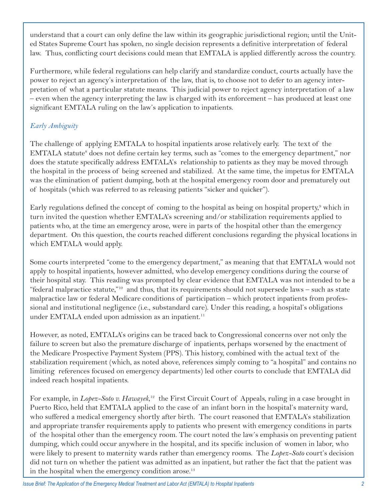understand that a court can only define the law within its geographic jurisdictional region; until the United States Supreme Court has spoken, no single decision represents a definitive interpretation of federal law. Thus, conflicting court decisions could mean that EMTALA is applied differently across the country.

Furthermore, while federal regulations can help clarify and standardize conduct, courts actually have the power to reject an agency's interpretation of the law, that is, to choose not to defer to an agency interpretation of what a particular statute means. This judicial power to reject agency interpretation of a law – even when the agency interpreting the law is charged with its enforcement – has produced at least one significant EMTALA ruling on the law's application to inpatients.

# *Early Ambiguity*

The challenge of applying EMTALA to hospital inpatients arose relatively early. The text of the EMTALA statute<sup>s</sup> does not define certain key terms, such as "comes to the emergency department," nor does the statute specifically address EMTALA's relationship to patients as they may be moved through the hospital in the process of being screened and stabilized. At the same time, the impetus for EMTALA was the elimination of patient dumping, both at the hospital emergency room door and prematurely out of hospitals (which was referred to as releasing patients "sicker and quicker").

Early regulations defined the concept of coming to the hospital as being on hospital property,<sup>9</sup> which in turn invited the question whether EMTALA's screening and/or stabilization requirements applied to patients who, at the time an emergency arose, were in parts of the hospital other than the emergency department. On this question, the courts reached different conclusions regarding the physical locations in which EMTALA would apply.

Some courts interpreted "come to the emergency department," as meaning that that EMTALA would not apply to hospital inpatients, however admitted, who develop emergency conditions during the course of their hospital stay. This reading was prompted by clear evidence that EMTALA was not intended to be a "federal malpractice statute,"10 and thus, that its requirements should not supersede laws – such as state malpractice law or federal Medicare conditions of participation – which protect inpatients from professional and institutional negligence (i.e., substandard care). Under this reading, a hospital's obligations under EMTALA ended upon admission as an inpatient.<sup>11</sup>

However, as noted, EMTALA's origins can be traced back to Congressional concerns over not only the failure to screen but also the premature discharge of inpatients, perhaps worsened by the enactment of the Medicare Prospective Payment System (PPS). This history, combined with the actual text of the stabilization requirement (which, as noted above, references simply coming to "a hospital" and contains no limiting references focused on emergency departments) led other courts to conclude that EMTALA did indeed reach hospital inpatients.

For example, in *Lopez-Soto v. Hawayek*,<sup>12</sup> the First Circuit Court of Appeals, ruling in a case brought in Puerto Rico, held that EMTALA applied to the case of an infant born in the hospital's maternity ward, who suffered a medical emergency shortly after birth. The court reasoned that EMTALA's stabilization and appropriate transfer requirements apply to patients who present with emergency conditions in parts of the hospital other than the emergency room. The court noted the law's emphasis on preventing patient dumping, which could occur anywhere in the hospital, and its specific inclusion of women in labor, who were likely to present to maternity wards rather than emergency rooms. The *Lopez-Soto* court's decision did not turn on whether the patient was admitted as an inpatient, but rather the fact that the patient was in the hospital when the emergency condition arose.<sup>13</sup>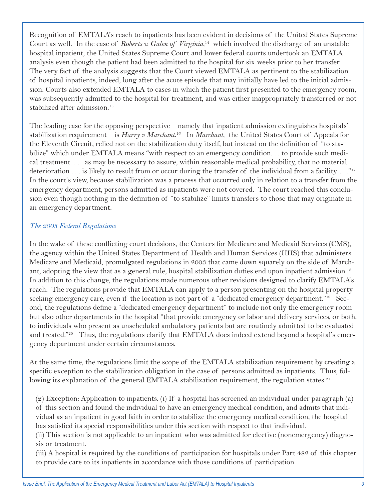Recognition of EMTALA's reach to inpatients has been evident in decisions of the United States Supreme Court as well. In the case of *Roberts v. Galen of Virginia*, 14 which involved the discharge of an unstable hospital inpatient, the United States Supreme Court and lower federal courts undertook an EMTALA analysis even though the patient had been admitted to the hospital for six weeks prior to her transfer. The very fact of the analysis suggests that the Court viewed EMTALA as pertinent to the stabilization of hospital inpatients, indeed, long after the acute episode that may initially have led to the initial admission. Courts also extended EMTALA to cases in which the patient first presented to the emergency room, was subsequently admitted to the hospital for treatment, and was either inappropriately transferred or not stabilized after admission.<sup>15</sup>

The leading case for the opposing perspective – namely that inpatient admission extinguishes hospitals' stabilization requirement – is *Harry v Marchant*. 16 In *Marchant*, the United States Court of Appeals for the Eleventh Circuit, relied not on the stabilization duty itself, but instead on the definition of "to stabilize" which under EMTALA means "with respect to an emergency condition... to provide such medical treatment . . . as may be necessary to assure, within reasonable medical probability, that no material deterioration . . . is likely to result from or occur during the transfer of the individual from a facility. . . ."17 In the court's view, because stabilization was a process that occurred only in relation to a transfer from the emergency department, persons admitted as inpatients were not covered. The court reached this conclusion even though nothing in the definition of "to stabilize" limits transfers to those that may originate in an emergency department.

#### *The 2003 Federal Regulations*

In the wake of these conflicting court decisions, the Centers for Medicare and Medicaid Services (CMS), the agency within the United States Department of Health and Human Services (HHS) that administers Medicare and Medicaid, promulgated regulations in 2003 that came down squarely on the side of Marchant, adopting the view that as a general rule, hospital stabilization duties end upon inpatient admission.<sup>18</sup> In addition to this change, the regulations made numerous other revisions designed to clarify EMTALA's reach. The regulations provide that EMTALA can apply to a person presenting on the hospital property seeking emergency care, even if the location is not part of a "dedicated emergency department."<sup>19</sup> Second, the regulations define a "dedicated emergency department" to include not only the emergency room but also other departments in the hospital "that provide emergency or labor and delivery services, or both, to individuals who present as unscheduled ambulatory patients but are routinely admitted to be evaluated and treated."<sup>20</sup> Thus, the regulations clarify that EMTALA does indeed extend beyond a hospital's emergency department under certain circumstances.

At the same time, the regulations limit the scope of the EMTALA stabilization requirement by creating a specific exception to the stabilization obligation in the case of persons admitted as inpatients. Thus, following its explanation of the general EMTALA stabilization requirement, the regulation states:<sup>21</sup>

(2) Exception: Application to inpatients. (i) If a hospital has screened an individual under paragraph (a) of this section and found the individual to have an emergency medical condition, and admits that individual as an inpatient in good faith in order to stabilize the emergency medical condition, the hospital has satisfied its special responsibilities under this section with respect to that individual.

(ii) This section is not applicable to an inpatient who was admitted for elective (nonemergency) diagnosis or treatment.

(iii) A hospital is required by the conditions of participation for hospitals under Part 482 of this chapter to provide care to its inpatients in accordance with those conditions of participation.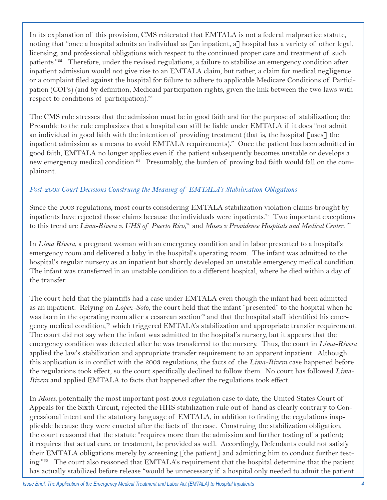In its explanation of this provision, CMS reiterated that EMTALA is not a federal malpractice statute, noting that "once a hospital admits an individual as  $\lceil$  an inpatient, a $\lceil$  hospital has a variety of other legal, licensing, and professional obligations with respect to the continued proper care and treatment of such patients."22 Therefore, under the revised regulations, a failure to stabilize an emergency condition after inpatient admission would not give rise to an EMTALA claim, but rather, a claim for medical negligence or a complaint filed against the hospital for failure to adhere to applicable Medicare Conditions of Participation (COPs) (and by definition, Medicaid participation rights, given the link between the two laws with respect to conditions of participation).<sup>23</sup>

The CMS rule stresses that the admission must be in good faith and for the purpose of stabilization; the Preamble to the rule emphasizes that a hospital can still be liable under EMTALA if it does "not admit an individual in good faith with the intention of providing treatment (that is, the hospital [uses] the inpatient admission as a means to avoid EMTALA requirements)." Once the patient has been admitted in good faith, EMTALA no longer applies even if the patient subsequently becomes unstable or develops a new emergency medical condition.<sup>24</sup> Presumably, the burden of proving bad faith would fall on the complainant.

## *Post-2003 Court Decisions Construing the Meaning of EMTALA's Stabilization Obligations*

Since the 2003 regulations, most courts considering EMTALA stabilization violation claims brought by inpatients have rejected those claims because the individuals were inpatients.<sup>25</sup> Two important exceptions to this trend are *Lima-Rivera v. UHS of Puerto Rico*,<sup>26</sup> and Moses v Providence Hospitals and Medical Center.<sup>27</sup>

In *Lima Rivera*, a pregnant woman with an emergency condition and in labor presented to a hospital's emergency room and delivered a baby in the hospital's operating room. The infant was admitted to the hospital's regular nursery as an inpatient but shortly developed an unstable emergency medical condition. The infant was transferred in an unstable condition to a different hospital, where he died within a day of the transfer.

The court held that the plaintiffs had a case under EMTALA even though the infant had been admitted as an inpatient. Relying on *Lopez-Soto*, the court held that the infant "presented" to the hospital when he was born in the operating room after a cesarean section<sup>28</sup> and that the hospital staff identified his emergency medical condition,<sup>29</sup> which triggered EMTALA's stabilization and appropriate transfer requirement. The court did not say when the infant was admitted to the hospital's nursery, but it appears that the emergency condition was detected after he was transferred to the nursery. Thus, the court in *Lima-Rivera*  applied the law's stabilization and appropriate transfer requirement to an apparent inpatient. Although this application is in conflict with the 2003 regulations, the facts of the *Lima-Rivera* case happened before the regulations took effect, so the court specifically declined to follow them. No court has followed *Lima-Rivera* and applied EMTALA to facts that happened after the regulations took effect.

In *Moses*, potentially the most important post-2003 regulation case to date, the United States Court of Appeals for the Sixth Circuit, rejected the HHS stabilization rule out of hand as clearly contrary to Congressional intent and the statutory language of EMTALA, in addition to finding the regulations inapplicable because they were enacted after the facts of the case. Construing the stabilization obligation, the court reasoned that the statute "requires more than the admission and further testing of a patient; it requires that actual care, or treatment, be provided as well. Accordingly, Defendants could not satisfy their EMTALA obligations merely by screening  $\lceil$  the patient $\lceil$  and admitting him to conduct further testing."30 The court also reasoned that EMTALA's requirement that the hospital determine that the patient has actually stabilized before release "would be unnecessary if a hospital only needed to admit the patient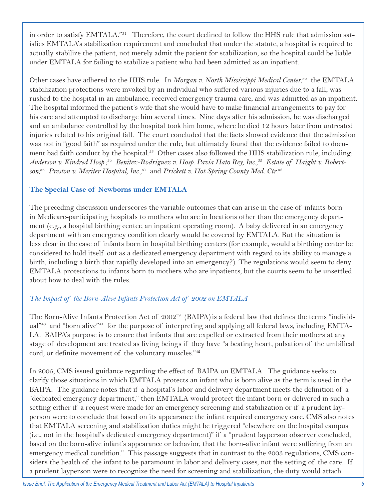in order to satisfy EMTALA."31 Therefore, the court declined to follow the HHS rule that admission satisfies EMTALA's stabilization requirement and concluded that under the statute, a hospital is required to actually stabilize the patient, not merely admit the patient for stabilization, so the hospital could be liable under EMTALA for failing to stabilize a patient who had been admitted as an inpatient.

Other cases have adhered to the HHS rule. In *Morgan v. North Mississippi Medical Center*,<sup>32</sup> the EMTALA stabilization protections were invoked by an individual who suffered various injuries due to a fall, was rushed to the hospital in an ambulance, received emergency trauma care, and was admitted as an inpatient. The hospital informed the patient's wife that she would have to make financial arrangements to pay for his care and attempted to discharge him several times. Nine days after his admission, he was discharged and an ambulance controlled by the hospital took him home, where he died 12 hours later from untreated injuries related to his original fall. The court concluded that the facts showed evidence that the admission was not in "good faith" as required under the rule, but ultimately found that the evidence failed to document bad faith conduct by the hospital.<sup>33</sup> Other cases also followed the HHS stabilization rule, including: *Anderson v. Kindred Hosp*.;34 *Benitez-Rodriguez v. Hosp. Pavia Hato Rey, Inc.*; 35 *Estate of Haight v. Robert*son;<sup>36</sup> Preston v. Meriter Hospital, Inc.;<sup>37</sup> and Prickett v. Hot Spring County Med. Ctr.<sup>38</sup>

## **The Special Case of Newborns under EMTALA**

The preceding discussion underscores the variable outcomes that can arise in the case of infants born in Medicare-participating hospitals to mothers who are in locations other than the emergency department (e.g., a hospital birthing center, an inpatient operating room). A baby delivered in an emergency department with an emergency condition clearly would be covered by EMTALA. But the situation is less clear in the case of infants born in hospital birthing centers (for example, would a birthing center be considered to hold itself out as a dedicated emergency department with regard to its ability to manage a birth, including a birth that rapidly developed into an emergency?). The regulations would seem to deny EMTALA protections to infants born to mothers who are inpatients, but the courts seem to be unsettled about how to deal with the rules.

## *The Impact of the Born-Alive Infants Protection Act of 2002 on EMTALA*

The Born-Alive Infants Protection Act of  $2002^{39}$  (BAIPA) is a federal law that defines the terms "individual"40 and "born alive"41 for the purpose of interpreting and applying all federal laws, including EMTA-LA. BAIPA's purpose is to ensure that infants that are expelled or extracted from their mothers at any stage of development are treated as living beings if they have "a beating heart, pulsation of the umbilical cord, or definite movement of the voluntary muscles."<sup>42</sup>

In 2005, CMS issued guidance regarding the effect of BAIPA on EMTALA. The guidance seeks to clarify those situations in which EMTALA protects an infant who is born alive as the term is used in the BAIPA. The guidance notes that if a hospital's labor and delivery department meets the definition of a "dedicated emergency department," then EMTALA would protect the infant born or delivered in such a setting either if a request were made for an emergency screening and stabilization or if a prudent layperson were to conclude that based on its appearance the infant required emergency care. CMS also notes that EMTALA screening and stabilization duties might be triggered "elsewhere on the hospital campus (i.e., not in the hospital's dedicated emergency department)" if a "prudent layperson observer concluded, based on the born-alive infant's appearance or behavior, that the born-alive infant were suffering from an emergency medical condition." This passage suggests that in contrast to the 2003 regulations, CMS considers the health of the infant to be paramount in labor and delivery cases, not the setting of the care. If a prudent layperson were to recognize the need for screening and stabilization, the duty would attach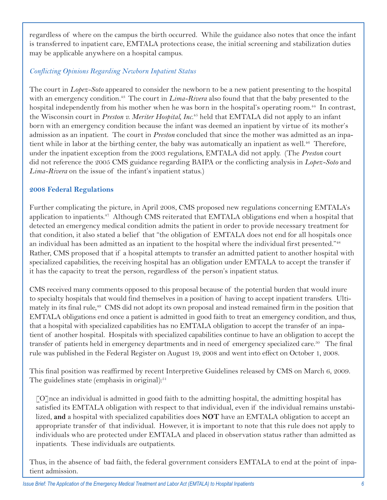regardless of where on the campus the birth occurred. While the guidance also notes that once the infant is transferred to inpatient care, EMTALA protections cease, the initial screening and stabilization duties may be applicable anywhere on a hospital campus.

#### *Conflicting Opinions Regarding Newborn Inpatient Status*

The court in *Lopez-Soto* appeared to consider the newborn to be a new patient presenting to the hospital with an emergency condition.<sup>43</sup> The court in *Lima-Rivera* also found that that the baby presented to the hospital independently from his mother when he was born in the hospital's operating room.<sup>44</sup> In contrast, the Wisconsin court in *Preston v. Meriter Hospital, Inc.*45 held that EMTALA did not apply to an infant born with an emergency condition because the infant was deemed an inpatient by virtue of its mother's admission as an inpatient. The court in *Preston* concluded that since the mother was admitted as an inpatient while in labor at the birthing center, the baby was automatically an inpatient as well.<sup>46</sup> Therefore, under the inpatient exception from the 2003 regulations, EMTALA did not apply. (The *Preston* court did not reference the 2005 CMS guidance regarding BAIPA or the conflicting analysis in *Lopez-Soto* and *Lima-Rivera* on the issue of the infant's inpatient status.)

#### **2008 Federal Regulations**

Further complicating the picture, in April 2008, CMS proposed new regulations concerning EMTALA's application to inpatients. $47$  Although CMS reiterated that EMTALA obligations end when a hospital that detected an emergency medical condition admits the patient in order to provide necessary treatment for that condition, it also stated a belief that "the obligation of EMTALA does not end for all hospitals once an individual has been admitted as an inpatient to the hospital where the individual first presented."<sup>48</sup> Rather, CMS proposed that if a hospital attempts to transfer an admitted patient to another hospital with specialized capabilities, the receiving hospital has an obligation under EMTALA to accept the transfer if it has the capacity to treat the person, regardless of the person's inpatient status.

CMS received many comments opposed to this proposal because of the potential burden that would inure to specialty hospitals that would find themselves in a position of having to accept inpatient transfers. Ultimately in its final rule,<sup>49</sup> CMS did not adopt its own proposal and instead remained firm in the position that EMTALA obligations end once a patient is admitted in good faith to treat an emergency condition, and thus, that a hospital with specialized capabilities has no EMTALA obligation to accept the transfer of an inpatient of another hospital. Hospitals with specialized capabilities continue to have an obligation to accept the transfer of patients held in emergency departments and in need of emergency specialized care.<sup>50</sup> The final rule was published in the Federal Register on August 19, 2008 and went into effect on October 1, 2008.

This final position was reaffirmed by recent Interpretive Guidelines released by CMS on March 6, 2009. The guidelines state (emphasis in original): $51$ 

[O]nce an individual is admitted in good faith to the admitting hospital, the admitting hospital has satisfied its EMTALA obligation with respect to that individual, even if the individual remains unstabilized, **and** a hospital with specialized capabilities does **NOT** have an EMTALA obligation to accept an appropriate transfer of that individual. However, it is important to note that this rule does not apply to individuals who are protected under EMTALA and placed in observation status rather than admitted as inpatients. These individuals are outpatients.

Thus, in the absence of bad faith, the federal government considers EMTALA to end at the point of inpatient admission.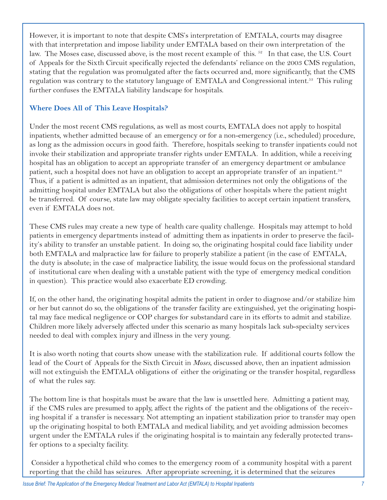However, it is important to note that despite CMS's interpretation of EMTALA, courts may disagree with that interpretation and impose liability under EMTALA based on their own interpretation of the law. The Moses case, discussed above, is the most recent example of this.  $^{52}$  In that case, the U.S. Court of Appeals for the Sixth Circuit specifically rejected the defendants' reliance on the 2003 CMS regulation, stating that the regulation was promulgated after the facts occurred and, more significantly, that the CMS regulation was contrary to the statutory language of EMTALA and Congressional intent.<sup>53</sup> This ruling further confuses the EMTALA liability landscape for hospitals.

#### **Where Does All of This Leave Hospitals?**

Under the most recent CMS regulations, as well as most courts, EMTALA does not apply to hospital inpatients, whether admitted because of an emergency or for a non-emergency (i.e., scheduled) procedure, as long as the admission occurs in good faith. Therefore, hospitals seeking to transfer inpatients could not invoke their stabilization and appropriate transfer rights under EMTALA. In addition, while a receiving hospital has an obligation to accept an appropriate transfer of an emergency department or ambulance patient, such a hospital does not have an obligation to accept an appropriate transfer of an inpatient.<sup>54</sup> Thus, if a patient is admitted as an inpatient, that admission determines not only the obligations of the admitting hospital under EMTALA but also the obligations of other hospitals where the patient might be transferred. Of course, state law may obligate specialty facilities to accept certain inpatient transfers, even if EMTALA does not.

These CMS rules may create a new type of health care quality challenge. Hospitals may attempt to hold patients in emergency departments instead of admitting them as inpatients in order to preserve the facility's ability to transfer an unstable patient. In doing so, the originating hospital could face liability under both EMTALA and malpractice law for failure to properly stabilize a patient (in the case of EMTALA, the duty is absolute; in the case of malpractice liability, the issue would focus on the professional standard of institutional care when dealing with a unstable patient with the type of emergency medical condition in question). This practice would also exacerbate ED crowding.

If, on the other hand, the originating hospital admits the patient in order to diagnose and/or stabilize him or her but cannot do so, the obligations of the transfer facility are extinguished, yet the originating hospital may face medical negligence or COP charges for substandard care in its efforts to admit and stabilize. Children more likely adversely affected under this scenario as many hospitals lack sub-specialty services needed to deal with complex injury and illness in the very young.

It is also worth noting that courts show unease with the stabilization rule. If additional courts follow the lead of the Court of Appeals for the Sixth Circuit in *Moses*, discussed above, then an inpatient admission will not extinguish the EMTALA obligations of either the originating or the transfer hospital, regardless of what the rules say.

The bottom line is that hospitals must be aware that the law is unsettled here. Admitting a patient may, if the CMS rules are presumed to apply, affect the rights of the patient and the obligations of the receiving hospital if a transfer is necessary. Not attempting an inpatient stabilization prior to transfer may open up the originating hospital to both EMTALA and medical liability, and yet avoiding admission becomes urgent under the EMTALA rules if the originating hospital is to maintain any federally protected transfer options to a specialty facility.

 Consider a hypothetical child who comes to the emergency room of a community hospital with a parent reporting that the child has seizures. After appropriate screening, it is determined that the seizures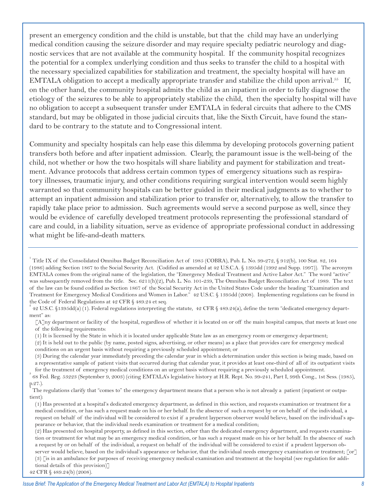present an emergency condition and the child is unstable, but that the child may have an underlying medical condition causing the seizure disorder and may require specialty pediatric neurology and diagnostic services that are not available at the community hospital. If the community hospital recognizes the potential for a complex underlying condition and thus seeks to transfer the child to a hospital with the necessary specialized capabilities for stabilization and treatment, the specialty hospital will have an EMTALA obligation to accept a medically appropriate transfer and stabilize the child upon arrival.55 If, on the other hand, the community hospital admits the child as an inpatient in order to fully diagnose the etiology of the seizures to be able to appropriately stabilize the child, then the specialty hospital will have no obligation to accept a subsequent transfer under EMTALA in federal circuits that adhere to the CMS standard, but may be obligated in those judicial circuits that, like the Sixth Circuit, have found the standard to be contrary to the statute and to Congressional intent.

Community and specialty hospitals can help ease this dilemma by developing protocols governing patient transfers both before and after inpatient admission. Clearly, the paramount issue is the well-being of the child, not whether or how the two hospitals will share liability and payment for stabilization and treatment. Advance protocols that address certain common types of emergency situations such as respiratory illnesses, traumatic injury, and other conditions requiring surgical intervention would seem highly warranted so that community hospitals can be better guided in their medical judgments as to whether to attempt an inpatient admission and stabilization prior to transfer or, alternatively, to allow the transfer to rapidly take place prior to admission. Such agreements would serve a second purpose as well, since they would be evidence of carefully developed treatment protocols representing the professional standard of care and could, in a liability situation, serve as evidence of appropriate professional conduct in addressing what might be life-and-death matters.

<sup>&</sup>lt;sup>1</sup> Title IX of the Consolidated Omnibus Budget Reconciliation Act of 1985 (COBRA), Pub. L. No. 99-272, § 912(b), 100 Stat. 82, 164 (1986) adding Section 1867 to the Social Security Act. (Codified as amended at 42 U.S.C.A. § 1395dd (1992 and Supp. 1997)). The acronym EMTALA comes from the original name of the legislation, the "Emergency Medical Treatment and Active Labor Act." The word "active" was subsequently removed from the title. Sec. 6211(h)(2), Pub. L. No. 101-239, The Omnibus Budget Reconciliation Act of 1989. The text of the law can be found codified as Section 1867 of the Social Security Act in the United States Code under the heading "Examination and Treatment for Emergency Medical Conditions and Women in Labor." 42 U.S.C. § 1395dd (2008). Implementing regulations can be found in the Code of Federal Regulations at 42 CFR § 489.24 et seq.

<sup>2</sup> 42 U.S.C. §1395dd(a) (1). Federal regulations interpreting the statute, 42 CFR § 489.24(a), define the term "dedicated emergency department" as:

<sup>[</sup>A]ny department or facility of the hospital, regardless of whether it is located on or off the main hospital campus, that meets at least one of the following requirements:

<sup>(1)</sup> It is licensed by the State in which it is located under applicable State law as an emergency room or emergency department;

<sup>(2)</sup> It is held out to the public (by name, posted signs, advertising, or other means) as a place that provides care for emergency medical conditions on an urgent basis without requiring a previously scheduled appointment; or

<sup>(3)</sup> During the calendar year immediately preceding the calendar year in which a determination under this section is being made, based on a representative sample of patient visits that occurred during that calendar year, it provides at least one-third of all of its outpatient visits

for the treatment of emergency medical conditions on an urgent basis without requiring a previously scheduled appointment.

<sup>68</sup> Fed. Reg. 53223 (September 9, 2003) (citing EMTALA's legislative history at H.R. Rept. No. 99-241, Part I, 99th Cong., 1st Sess. (1985), p.27.). 4

The regulations clarify that "comes to" the emergency department means that a person who is not already a patient (inpatient or outpatient):

<sup>(1)</sup> Has presented at a hospital's dedicated emergency department, as defined in this section, and requests examination or treatment for a medical condition, or has such a request made on his or her behalf. In the absence of such a request by or on behalf of the individual, a request on behalf of the individual will be considered to exist if a prudent layperson observer would believe, based on the individual's appearance or behavior, that the individual needs examination or treatment for a medical condition;

<sup>(2)</sup> Has presented on hospital property, as defined in this section, other than the dedicated emergency department, and requests examination or treatment for what may be an emergency medical condition, or has such a request made on his or her behalf. In the absence of such a request by or on behalf of the individual, a request on behalf of the individual will be considered to exist if a prudent layperson observer would believe, based on the individual's appearance or behavior, that the individual needs emergency examination or treatment; [or] (3) [is in an ambulance for purposes of receiving emergency medical examination and treatment at the hospital (see regulation for additional details of this provision)]

<sup>42</sup> CFR § 489.24(b) (2008).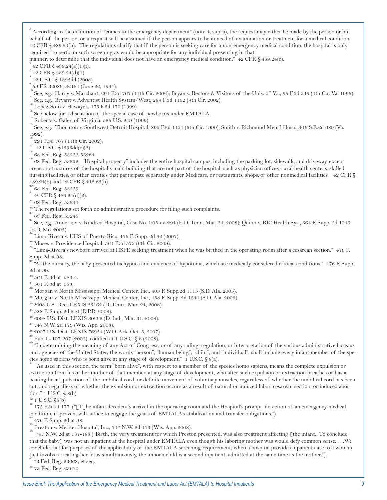5 According to the definition of "comes to the emergency department" (note 4, supra), the request may either be made by the person or on behalf of the person, or a request will be assumed if the person appears to be in need of examination or treatment for a medical condition. 42 CFR § 489.24(b). The regulations clarify that if the person is seeking care for a non-emergency medical condition, the hospital is only required "to perform such screening as would be appropriate for any individual presenting in that

manner, to determine that the individual does not have an emergency medical condition." 42 CFR § 489.24(c).

42 CFR § 489.24(a)(1)(i). <sup>7</sup>

 42 CFR § 489.24(d)(1). 8

 42 U.S.C. § 1395dd (2008). 9

59 FR 32086, 32121 (June 22, 1994).

 $\degree$  See, e.g., Harry v. Marchant, 291 F.3d 767 (11th Cir. 2002); Bryan v. Rectors & Visitors of the Univ. of Va., 95 F.3d 349 (4th Cir. Va. 1996).<br>  $\degree$  See, e.g., Bryant v. Adventist Health System/West, 289 F.3d 1162 (9

1992).

" 291 F.3d 767 (11th Cir. 2002).<br>" 42 U.S.C. §1396dd(e)(2).<br>" 68 Fed. Reg. 53222-53264.<br>" 68 Fed. Reg. 53232. "Hospital property" includes the entire hospital campus, including the parking lot, sidewalk, and driveway, exce areas or structures of the hospital's main building that are not part of the hospital, such as physician offices, rural health centers, skilled nursing facilities, or other entities that participate separately under Medicare, or restaurants, shops, or other nonmedical facilities. 42 CFR § 489.24(b) and 42 CFR § 413.65(b).

 $^{20}_{21}$  68 Fed. Reg. 53229.<br>
42 CFR § 489.24(d)(2).

<sup>22</sup> 68 Fed. Reg. 53244.

<sup>23</sup> The regulations set forth no administrative procedure for filing such complaints.<br><sup>24</sup> 68 Fed. Reg. 53245.<br><sup>25</sup> See, e.g., Anderson v. Kindred Hospital, Case No. 1:05-cv-294 (E.D. Tenn. Mar. 24, 2008); Quinn v. BJC H (E.D. Mo. 2005).

Lima-Rivera v. UHS of Puerto Rico, 476 F. Supp. 2d 92 (2007).

<sup>27</sup> Moses v. Providence Hospital, 561 F.3d 573 (6th Cir. 2009).  $\frac{1}{28}$  "Lima-Rivera's newborn arrived at HSPE seeking treatment when he was birthed in the operating room after a cesarean section." 476 F. Supp. 2d at 98.

29 "At the nursery, the baby presented tachypnea and evidence of hypotonia, which are medically considered critical conditions." 476 F. Supp. 2d at 99.

30 561 F. 3d at 583-4.

 $\frac{31}{36}$  561 F. 3d at 583..<br> $\frac{32}{36}$  Morgan v. North Mississippi Medical Center, Inc., 403 F. Supp.2d 1115 (S.D. Ala. 2005).

33 Morgan v. North Mississippi Medical Center, Inc., 458 F. Supp. 2d 1341 (S.D. Ala. 2006).

34 2008 U.S. Dist. LEXIS 23162 (D. Tenn., Mar. 24, 2008).

35 588 F. Supp. 2d 210 (D.P.R. 2008).

36 2008 U.S. Dist. LEXIS 30262 (D. Ind., Mar. 31, 2008).

37 747 N.W. 2d 173 (Wis. App. 2008).

<sup>38</sup> 2007 U.S. Dist. LEXIS 76954 (W.D. Ark. Oct. 5, 2007).<br><sup>39</sup> Pub. L. 107-207 (2002), codified at 1 U.S.C. § 8 (2008).<br><sup>40</sup> "In determining the meaning of any Act of Congress, or of any ruling, regulation, or interpreta and agencies of the United States, the words "person", "human being", "child", and "individual", shall include every infant member of the species homo sapiens who is born alive at any stage of development." 1 U.S.C. § 8(a).

41 "As used in this section, the term "born alive", with respect to a member of the species homo sapiens, means the complete expulsion or extraction from his or her mother of that member, at any stage of development, who after such expulsion or extraction breathes or has a beating heart, pulsation of the umbilical cord, or definite movement of voluntary muscles, regardless of whether the umbilical cord has been cut, and regardless of whether the expulsion or extraction occurs as a result of natural or induced labor, cesarean section, or induced abortion." 1 U.S.C. § 8(b).

<sup>42</sup> 1 U.S.C. §8(b)<br><sup>43</sup> 175 F.3d at 177. ("[T]he infant decedent's arrival in the operating room and the Hospital's prompt detection of an emergency medical condition, if proven, will suffice to engage the gears of EMTALA's stabilization and transfer obligations.")

476 F. Supp. 2d at 98.<br>Preston v. Meriter Hospital, Inc., 747 N.W. 2d 173 (Wis. App. 2008).<br>747 N.W. 2d at 187-188 ("Birth, the very treatment for which Preston presented, was also treatment affecting [the infant. To concl that the baby] was not an inpatient at the hospital under EMTALA even though his laboring mother was would defy common sense. . . .We conclude that for purposes of the applicability of the EMTALA screening requirement, when a hospital provides inpatient care to a woman that involves treating her fetus simultaneously, the unborn child is a second inpatient, admitted at the same time as the mother.").

47 73 Fed. Reg. 23668, et seq.

48 73 Fed. Reg. 23670.